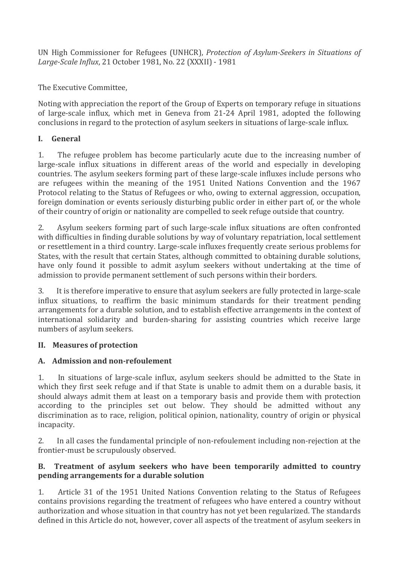UN High Commissioner for Refugees (UNHCR), *Protection of Asylum-Seekers in Situations of* Large-Scale Influx, 21 October 1981, No. 22 (XXXII) - 1981

The Executive Committee.

Noting with appreciation the report of the Group of Experts on temporary refuge in situations of large-scale influx, which met in Geneva from 21-24 April 1981, adopted the following conclusions in regard to the protection of asylum seekers in situations of large-scale influx.

### **I.** General

1. The refugee problem has become particularly acute due to the increasing number of large-scale influx situations in different areas of the world and especially in developing countries. The asylum seekers forming part of these large-scale influxes include persons who are refugees within the meaning of the 1951 United Nations Convention and the 1967 Protocol relating to the Status of Refugees or who, owing to external aggression, occupation, foreign domination or events seriously disturbing public order in either part of, or the whole of their country of origin or nationality are compelled to seek refuge outside that country.

2. Asylum seekers forming part of such large-scale influx situations are often confronted with difficulties in finding durable solutions by way of voluntary repatriation, local settlement or resettlement in a third country. Large-scale influxes frequently create serious problems for States, with the result that certain States, although committed to obtaining durable solutions, have only found it possible to admit asylum seekers without undertaking at the time of admission to provide permanent settlement of such persons within their borders.

3. It is therefore imperative to ensure that asylum seekers are fully protected in large-scale influx situations, to reaffirm the basic minimum standards for their treatment pending arrangements for a durable solution, and to establish effective arrangements in the context of international solidarity and burden-sharing for assisting countries which receive large numbers of asylum seekers.

# **II. Measures of protection**

# A. Admission and non-refoulement

1. In situations of large-scale influx, asylum seekers should be admitted to the State in which they first seek refuge and if that State is unable to admit them on a durable basis, it should always admit them at least on a temporary basis and provide them with protection according to the principles set out below. They should be admitted without any discrimination as to race, religion, political opinion, nationality, country of origin or physical incapacity.

2. In all cases the fundamental principle of non-refoulement including non-rejection at the frontier-must be scrupulously observed.

## **B.** Treatment of asylum seekers who have been temporarily admitted to country **pending arrangements for a durable solution**

1.####### Article# 31# of# the# 1951# United# Nations# Convention# relating# to# the# Status# of# Refugees# contains provisions regarding the treatment of refugees who have entered a country without authorization and whose situation in that country has not yet been regularized. The standards defined in this Article do not, however, cover all aspects of the treatment of asylum seekers in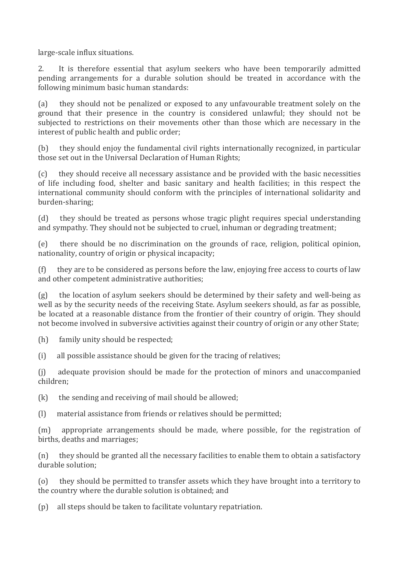large-scale influx situations.

2. It is therefore essential that asylum seekers who have been temporarily admitted pending arrangements for a durable solution should be treated in accordance with the following minimum basic human standards:

(a) they should not be penalized or exposed to any unfavourable treatment solely on the ground that their presence in the country is considered unlawful; they should not be subjected to restrictions on their movements other than those which are necessary in the interest of public health and public order;

(b) they should enjoy the fundamental civil rights internationally recognized, in particular those set out in the Universal Declaration of Human Rights;

 $(c)$  they should receive all necessary assistance and be provided with the basic necessities of life including food, shelter and basic sanitary and health facilities; in this respect the international community should conform with the principles of international solidarity and burden-sharing;

(d) they should be treated as persons whose tragic plight requires special understanding and sympathy. They should not be subjected to cruel, inhuman or degrading treatment;

(e) there should be no discrimination on the grounds of race, religion, political opinion, nationality, country of origin or physical incapacity;

(f) they are to be considered as persons before the law, enjoying free access to courts of law and other competent administrative authorities;

(g) the location of asylum seekers should be determined by their safety and well-being as well as by the security needs of the receiving State. Asylum seekers should, as far as possible, be located at a reasonable distance from the frontier of their country of origin. They should not become involved in subversive activities against their country of origin or any other State;

 $(h)$  family unity should be respected;

(i) all possible assistance should be given for the tracing of relatives;

 $(i)$  adequate provision should be made for the protection of minors and unaccompanied children;

 $(k)$  the sending and receiving of mail should be allowed;

(I) material assistance from friends or relatives should be permitted;

 $(m)$  appropriate arrangements should be made, where possible, for the registration of births, deaths and marriages;

(n) they should be granted all the necessary facilities to enable them to obtain a satisfactory durable solution;

(o) they should be permitted to transfer assets which they have brought into a territory to  $\overline{a}$ the country where the durable solution is obtained; and

 $(p)$  all steps should be taken to facilitate voluntary repatriation.